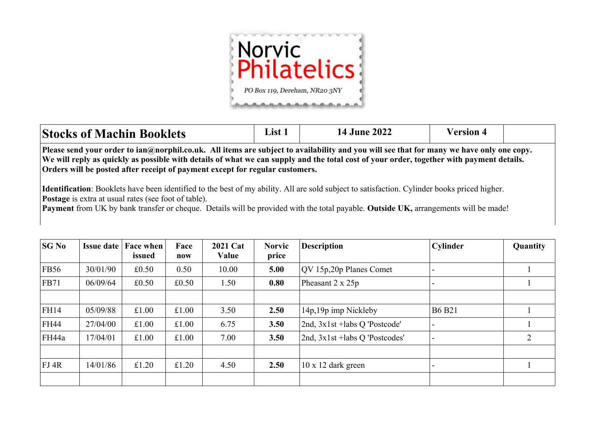

| <b>Stocks of Machin Booklets</b>                                                                                                                                                                                                                                                                                                                                            | List 1 | <b>14 June 2022</b> | <b>Version 4</b> |  |  |  |  |  |  |
|-----------------------------------------------------------------------------------------------------------------------------------------------------------------------------------------------------------------------------------------------------------------------------------------------------------------------------------------------------------------------------|--------|---------------------|------------------|--|--|--|--|--|--|
| Please send your order to ian@norphil.co.uk. All items are subject to availability and you will see that for many we have only one copy.<br>We will reply as quickly as possible with details of what we can supply and the total cost of your order, together with payment details.<br><b>Orders will be posted after receipt of payment except for regular customers.</b> |        |                     |                  |  |  |  |  |  |  |
| <b>Identification</b> : Booklets have been identified to the best of my ability. All are sold subject to satisfaction. Cylinder books priced higher.<br><b>Postage</b> is extra at usual rates (see foot of table).                                                                                                                                                         |        |                     |                  |  |  |  |  |  |  |

**Payment** from UK by bank transfer or cheque. Details will be provided with the total payable. **Outside UK,** arrangements will be made!

| SGN <sub>0</sub> | <b>Issue date</b> | <b>Face when</b><br>issued | Face<br>now | <b>2021 Cat</b><br>Value | <b>Norvic</b><br>price | <b>Description</b>             | Cylinder      | Quantity |
|------------------|-------------------|----------------------------|-------------|--------------------------|------------------------|--------------------------------|---------------|----------|
| FB56             | 30/01/90          | £0.50                      | 0.50        | 10.00                    | 5.00                   | QV 15p,20p Planes Comet        |               |          |
| FB71             | 06/09/64          | £0.50                      | £0.50       | 1.50                     | 0.80                   | Pheasant $2 \times 25p$        |               |          |
|                  |                   |                            |             |                          |                        |                                |               |          |
| FH14             | 05/09/88          | £1.00                      | £1.00       | 3.50                     | 2.50                   | 14p, 19p imp Nickleby          | <b>B6 B21</b> |          |
| FH44             | 27/04/00          | £1.00                      | £1.00       | 6.75                     | 3.50                   | 2nd, 3x1st +labs Q 'Postcode'  |               |          |
| FH44a            | 17/04/01          | £1.00                      | £1.00       | 7.00                     | 3.50                   | 2nd, 3x1st +labs Q 'Postcodes' |               | 2        |
|                  |                   |                            |             |                          |                        |                                |               |          |
| FI4R             | 14/01/86          | £1.20                      | £1.20       | 4.50                     | 2.50                   | $10 \times 12$ dark green      |               |          |
|                  |                   |                            |             |                          |                        |                                |               |          |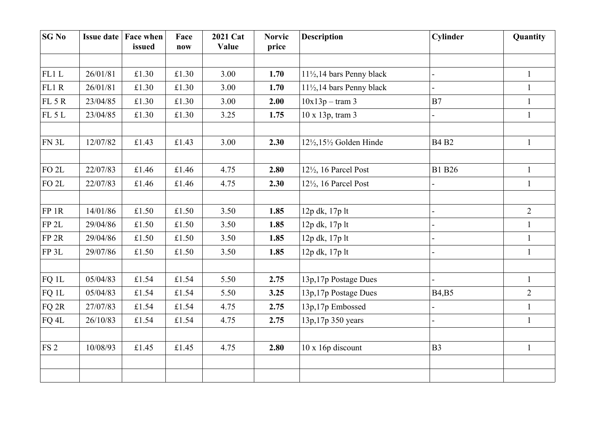| <b>SG No</b>     | <b>Issue date</b> | Face when<br>issued | Face<br>now | 2021 Cat<br>Value | <b>Norvic</b><br>price | <b>Description</b>                             | <b>Cylinder</b> | Quantity       |
|------------------|-------------------|---------------------|-------------|-------------------|------------------------|------------------------------------------------|-----------------|----------------|
|                  |                   |                     |             |                   |                        |                                                |                 |                |
| FL1L             | 26/01/81          | £1.30               | £1.30       | 3.00              | 1.70                   | $11\frac{1}{2}$ , 14 bars Penny black          |                 | $\mathbf{1}$   |
| FL1R             | 26/01/81          | £1.30               | £1.30       | 3.00              | 1.70                   | $11\frac{1}{2}$ , 14 bars Penny black          |                 | $\mathbf{1}$   |
| FL 5 R           | 23/04/85          | £1.30               | £1.30       | 3.00              | 2.00                   | $10x13p - tram 3$                              | B7              | $\mathbf{1}$   |
| FL5L             | 23/04/85          | £1.30               | £1.30       | 3.25              | 1.75                   | 10 x 13p, tram 3                               |                 | $\mathbf{1}$   |
| FN 3L            | 12/07/82          | £1.43               | £1.43       | 3.00              | 2.30                   | $12\frac{1}{2}$ , $15\frac{1}{2}$ Golden Hinde | <b>B4 B2</b>    | $\mathbf{1}$   |
| $FO$ $2L$        | 22/07/83          | £1.46               | £1.46       | 4.75              | 2.80                   | $12\frac{1}{2}$ , 16 Parcel Post               | <b>B1</b> B26   | $\mathbf{1}$   |
| $FO$ $2L$        | 22/07/83          | £1.46               | £1.46       | 4.75              | 2.30                   | $12\frac{1}{2}$ , 16 Parcel Post               |                 | $\mathbf{1}$   |
| $FP$ 1 $R$       | 14/01/86          | £1.50               | £1.50       | 3.50              | 1.85                   | 12p dk, 17p lt                                 |                 | $\overline{2}$ |
| FP <sub>2L</sub> | 29/04/86          | £1.50               | £1.50       | 3.50              |                        |                                                |                 | $\mathbf{1}$   |
|                  |                   |                     |             |                   | 1.85                   | 12p dk, 17p lt                                 |                 |                |
| FP <sub>2R</sub> | 29/04/86          | £1.50               | £1.50       | 3.50              | 1.85                   | 12p dk, 17p lt                                 |                 | $\mathbf{1}$   |
| FP 3L            | 29/07/86          | £1.50               | £1.50       | 3.50              | 1.85                   | 12p dk, 17p lt                                 |                 | $\mathbf{1}$   |
| FQ 1L            | 05/04/83          | £1.54               | £1.54       | 5.50              | 2.75                   | 13p, 17p Postage Dues                          |                 | $\mathbf{1}$   |
| FQ 1L            | 05/04/83          | £1.54               | £1.54       | 5.50              | 3.25                   | 13p,17p Postage Dues                           | <b>B4,B5</b>    | $\overline{2}$ |
| FQ 2R            | 27/07/83          | £1.54               | £1.54       | 4.75              | 2.75                   | 13p,17p Embossed                               |                 | $\mathbf{1}$   |
| FQ 4L            | 26/10/83          | £1.54               | £1.54       | 4.75              | 2.75                   | 13p, 17p 350 years                             |                 | $\mathbf{1}$   |
| FS2              | 10/08/93          | £1.45               | £1.45       | 4.75              | 2.80                   | 10 x 16p discount                              | B <sub>3</sub>  | $\mathbf{1}$   |
|                  |                   |                     |             |                   |                        |                                                |                 |                |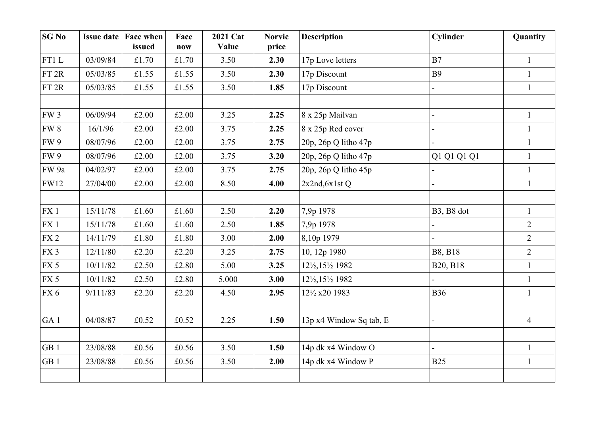| <b>SG No</b>     | <b>Issue date</b> | <b>Face when</b><br>issued | Face<br>now | 2021 Cat<br>Value | <b>Norvic</b><br>price | <b>Description</b>      | Cylinder                            | Quantity       |
|------------------|-------------------|----------------------------|-------------|-------------------|------------------------|-------------------------|-------------------------------------|----------------|
| FT1L             | 03/09/84          | £1.70                      | £1.70       | 3.50              | 2.30                   | 17p Love letters        | B7                                  | $\mathbf{1}$   |
| FT <sub>2R</sub> | 05/03/85          | £1.55                      | £1.55       | 3.50              | 2.30                   | 17p Discount            | <b>B9</b>                           | $\mathbf{1}$   |
| FT 2R            | 05/03/85          | £1.55                      | £1.55       | 3.50              | 1.85                   | 17p Discount            |                                     | $\mathbf{1}$   |
|                  |                   |                            |             |                   |                        |                         |                                     |                |
| FW <sub>3</sub>  | 06/09/94          | £2.00                      | £2.00       | 3.25              | 2.25                   | 8 x 25p Mailvan         |                                     | $\mathbf{1}$   |
| FW 8             | 16/1/96           | £2.00                      | £2.00       | 3.75              | 2.25                   | 8 x 25p Red cover       |                                     | $\mathbf{1}$   |
| <b>FW9</b>       | 08/07/96          | £2.00                      | £2.00       | 3.75              | 2.75                   | 20p, 26p Q litho 47p    |                                     | $\mathbf{1}$   |
| <b>FW9</b>       | 08/07/96          | £2.00                      | £2.00       | 3.75              | 3.20                   | 20p, 26p Q litho 47p    | Q1 Q1 Q1 Q1                         | $\mathbf{1}$   |
| FW 9a            | 04/02/97          | £2.00                      | £2.00       | 3.75              | 2.75                   | 20p, 26p Q litho 45p    |                                     | $\mathbf{1}$   |
| <b>FW12</b>      | 27/04/00          | £2.00                      | £2.00       | 8.50              | 4.00                   | $2x2nd, 6x1st$ Q        |                                     | $\mathbf{1}$   |
|                  |                   |                            |             |                   |                        |                         |                                     |                |
| FX1              | 15/11/78          | £1.60                      | £1.60       | 2.50              | 2.20                   | 7,9p 1978               | B <sub>3</sub> , B <sub>8</sub> dot | $\mathbf{1}$   |
| FX1              | 15/11/78          | £1.60                      | £1.60       | 2.50              | 1.85                   | 7,9p 1978               |                                     | $\overline{2}$ |
| FX2              | 14/11/79          | £1.80                      | £1.80       | 3.00              | 2.00                   | 8,10p 1979              |                                     | $\overline{2}$ |
| FX <sub>3</sub>  | 12/11/80          | £2.20                      | £2.20       | 3.25              | 2.75                   | 10, 12p 1980            | <b>B8, B18</b>                      | $\overline{2}$ |
| FX 5             | 10/11/82          | £2.50                      | £2.80       | 5.00              | 3.25                   | 12½, 15½ 1982           | B20, B18                            | $\mathbf{1}$   |
| FX 5             | 10/11/82          | £2.50                      | £2.80       | 5.000             | 3.00                   | 12½, 15½ 1982           |                                     | $\mathbf{1}$   |
| FX 6             | 9/111/83          | £2.20                      | £2.20       | 4.50              | 2.95                   | 12½ x20 1983            | <b>B36</b>                          | $\mathbf{1}$   |
|                  |                   |                            |             |                   |                        |                         |                                     |                |
| GA <sub>1</sub>  | 04/08/87          | £0.52                      | £0.52       | 2.25              | 1.50                   | 13p x4 Window Sq tab, E |                                     | $\overline{4}$ |
|                  |                   |                            |             |                   |                        |                         |                                     |                |
| GB <sub>1</sub>  | 23/08/88          | £0.56                      | £0.56       | 3.50              | 1.50                   | 14p dk x4 Window O      |                                     | $\mathbf{1}$   |
| GB <sub>1</sub>  | 23/08/88          | £0.56                      | £0.56       | 3.50              | 2.00                   | 14p dk x4 Window P      | <b>B25</b>                          | $\mathbf{1}$   |
|                  |                   |                            |             |                   |                        |                         |                                     |                |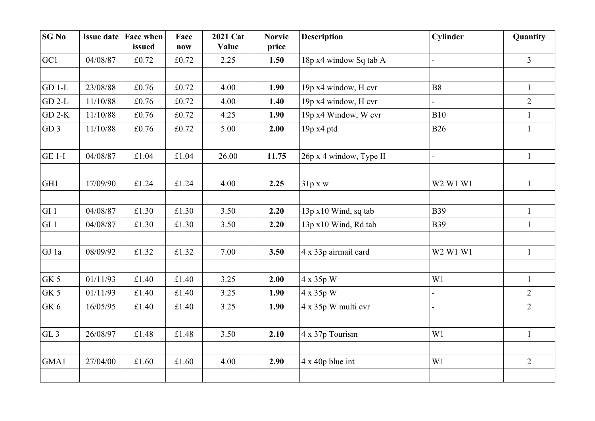| SGN <sub>0</sub> | <b>Issue date</b> | <b>Face when</b><br>issued | Face<br>now | 2021 Cat<br>Value | <b>Norvic</b><br>price | <b>Description</b>      | <b>Cylinder</b> | Quantity       |
|------------------|-------------------|----------------------------|-------------|-------------------|------------------------|-------------------------|-----------------|----------------|
| GC1              | 04/08/87          | £0.72                      | £0.72       | 2.25              | 1.50                   | 18p x4 window Sq tab A  |                 | $\overline{3}$ |
|                  |                   |                            |             |                   |                        |                         |                 |                |
| $GD 1-L$         | 23/08/88          | £0.76                      | £0.72       | 4.00              | 1.90                   | 19p x4 window, H cvr    | <b>B8</b>       | $\mathbf{1}$   |
| $GD$ 2-L         | 11/10/88          | £0.76                      | £0.72       | 4.00              | 1.40                   | 19p x4 window, H cvr    |                 | $\overline{2}$ |
| $GD$ 2-K         | 11/10/88          | £0.76                      | £0.72       | 4.25              | 1.90                   | 19p x4 Window, W cvr    | <b>B10</b>      | $\mathbf{1}$   |
| GD3              | 11/10/88          | £0.76                      | £0.72       | 5.00              | 2.00                   | 19p x4 ptd              | <b>B26</b>      | $\mathbf{1}$   |
|                  |                   |                            |             |                   |                        |                         |                 |                |
| <b>GE 1-I</b>    | 04/08/87          | £1.04                      | £1.04       | 26.00             | 11.75                  | 26p x 4 window, Type II |                 | $\mathbf{1}$   |
|                  |                   |                            |             |                   |                        |                         |                 |                |
| GH1              | 17/09/90          | £1.24                      | £1.24       | 4.00              | 2.25                   | 31p x w                 | W2 W1 W1        | $\mathbf{1}$   |
|                  |                   |                            |             |                   |                        |                         |                 |                |
| GI1              | 04/08/87          | £1.30                      | £1.30       | 3.50              | 2.20                   | 13p x10 Wind, sq tab    | <b>B39</b>      | $\mathbf{1}$   |
| GI1              | 04/08/87          | £1.30                      | £1.30       | 3.50              | 2.20                   | 13p x10 Wind, Rd tab    | <b>B39</b>      | $\mathbf{1}$   |
|                  |                   |                            |             |                   |                        |                         |                 |                |
| GJ 1a            | 08/09/92          | £1.32                      | £1.32       | 7.00              | 3.50                   | 4 x 33p airmail card    | W2 W1 W1        | $\mathbf{1}$   |
|                  |                   |                            |             |                   |                        |                         |                 |                |
| GK 5             | 01/11/93          | £1.40                      | £1.40       | 3.25              | 2.00                   | 4 x 35p W               | W1              | $\mathbf{1}$   |
| GK 5             | 01/11/93          | £1.40                      | £1.40       | 3.25              | 1.90                   | 4 x 35p W               |                 | $\overline{2}$ |
| GK 6             | 16/05/95          | £1.40                      | £1.40       | 3.25              | 1.90                   | 4 x 35p W multi cvr     |                 | $\overline{2}$ |
|                  |                   |                            |             |                   |                        |                         |                 |                |
| GL <sub>3</sub>  | 26/08/97          | £1.48                      | £1.48       | 3.50              | 2.10                   | 4 x 37p Tourism         | W1              | $\mathbf{1}$   |
|                  |                   |                            |             |                   |                        |                         |                 |                |
| GMA1             | 27/04/00          | £1.60                      | £1.60       | 4.00              | 2.90                   | $4 \times 40p$ blue int | W1              | $\overline{2}$ |
|                  |                   |                            |             |                   |                        |                         |                 |                |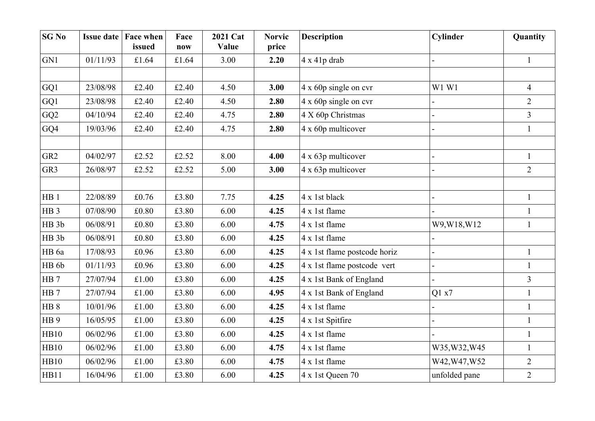| <b>SG No</b>     |          | <b>Issue date   Face when</b><br>issued | Face<br>now | 2021 Cat<br>Value | <b>Norvic</b><br>price | <b>Description</b>           | Cylinder      | Quantity       |
|------------------|----------|-----------------------------------------|-------------|-------------------|------------------------|------------------------------|---------------|----------------|
| GN1              | 01/11/93 | £1.64                                   | £1.64       | 3.00              | 2.20                   | $4 \times 41p$ drab          |               | $\mathbf{1}$   |
|                  |          |                                         |             |                   |                        |                              |               |                |
| GQ1              | 23/08/98 | £2.40                                   | £2.40       | 4.50              | 3.00                   | $4 \times 60p$ single on cvr | W1 W1         | $\overline{4}$ |
| GQ1              | 23/08/98 | £2.40                                   | £2.40       | 4.50              | 2.80                   | $4 \times 60p$ single on cvr |               | $\overline{2}$ |
| GQ2              | 04/10/94 | £2.40                                   | £2.40       | 4.75              | 2.80                   | 4 X 60p Christmas            |               | $\overline{3}$ |
| GQ4              | 19/03/96 | £2.40                                   | £2.40       | 4.75              | 2.80                   | 4 x 60p multicover           |               | $\mathbf{1}$   |
|                  |          |                                         |             |                   |                        |                              |               |                |
| GR <sub>2</sub>  | 04/02/97 | £2.52                                   | £2.52       | 8.00              | 4.00                   | 4 x 63p multicover           |               | $\mathbf{1}$   |
| GR3              | 26/08/97 | £2.52                                   | £2.52       | 5.00              | 3.00                   | 4 x 63p multicover           |               | $\overline{2}$ |
|                  |          |                                         |             |                   |                        |                              |               |                |
| HB <sub>1</sub>  | 22/08/89 | £0.76                                   | £3.80       | 7.75              | 4.25                   | 4 x 1st black                |               | $\mathbf{1}$   |
| HB <sub>3</sub>  | 07/08/90 | £0.80                                   | £3.80       | 6.00              | 4.25                   | 4 x 1st flame                |               | $\mathbf{1}$   |
| HB <sub>3b</sub> | 06/08/91 | £0.80                                   | £3.80       | 6.00              | 4.75                   | 4 x 1st flame                | W9, W18, W12  | $\mathbf{1}$   |
| HB <sub>3b</sub> | 06/08/91 | £0.80                                   | £3.80       | 6.00              | 4.25                   | 4 x 1st flame                |               |                |
| HB 6a            | 17/08/93 | £0.96                                   | £3.80       | 6.00              | 4.25                   | 4 x 1st flame postcode horiz |               | $\mathbf{1}$   |
| HB 6b            | 01/11/93 | £0.96                                   | £3.80       | 6.00              | 4.25                   | 4 x 1st flame postcode vert  |               | $\mathbf{1}$   |
| HB <sub>7</sub>  | 27/07/94 | £1.00                                   | £3.80       | 6.00              | 4.25                   | 4 x 1st Bank of England      |               | $\overline{3}$ |
| HB <sub>7</sub>  | 27/07/94 | £1.00                                   | £3.80       | 6.00              | 4.95                   | 4 x 1st Bank of England      | Q1 x7         | $\mathbf{1}$   |
| HB <sub>8</sub>  | 10/01/96 | £1.00                                   | £3.80       | 6.00              | 4.25                   | 4 x 1st flame                |               | $\mathbf{1}$   |
| HB <sub>9</sub>  | 16/05/95 | £1.00                                   | £3.80       | 6.00              | 4.25                   | 4 x 1st Spitfire             |               | $\mathbf{1}$   |
| HB10             | 06/02/96 | £1.00                                   | £3.80       | 6.00              | 4.25                   | 4 x 1st flame                |               | $\mathbf{1}$   |
| HB10             | 06/02/96 | £1.00                                   | £3.80       | 6.00              | 4.75                   | 4 x 1st flame                | W35, W32, W45 | $\mathbf{1}$   |
| HB10             | 06/02/96 | £1.00                                   | £3.80       | 6.00              | 4.75                   | 4 x 1st flame                | W42, W47, W52 | $\overline{2}$ |
| HB11             | 16/04/96 | $\pounds1.00$                           | £3.80       | 6.00              | 4.25                   | 4 x 1st Queen 70             | unfolded pane | $\overline{2}$ |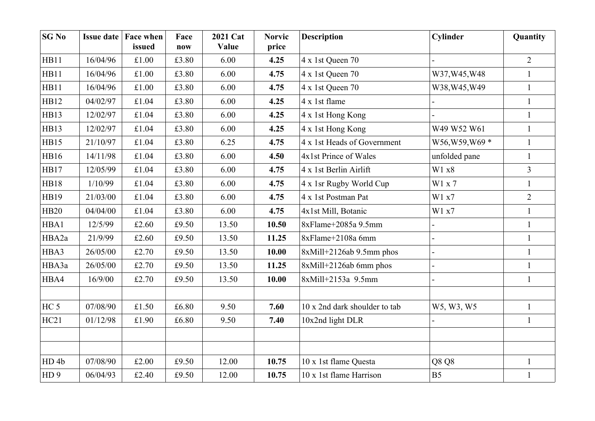| <b>SG No</b>     |          | <b>Issue date   Face when</b><br>issued | Face<br>now | 2021 Cat<br>Value | <b>Norvic</b><br>price | <b>Description</b>            | Cylinder        | Quantity       |
|------------------|----------|-----------------------------------------|-------------|-------------------|------------------------|-------------------------------|-----------------|----------------|
| HB11             | 16/04/96 | £1.00                                   | £3.80       | 6.00              | 4.25                   | 4 x 1st Queen 70              |                 | $\overline{2}$ |
| HB11             | 16/04/96 | £1.00                                   | £3.80       | 6.00              | 4.75                   | 4 x 1st Queen 70              | W37, W45, W48   | $\mathbf{1}$   |
| HB11             | 16/04/96 | £1.00                                   | £3.80       | 6.00              | 4.75                   | 4 x 1st Queen 70              | W38, W45, W49   | $\mathbf{1}$   |
| HB12             | 04/02/97 | £1.04                                   | £3.80       | 6.00              | 4.25                   | 4 x 1st flame                 |                 | $\mathbf{1}$   |
| HB13             | 12/02/97 | £1.04                                   | £3.80       | 6.00              | 4.25                   | 4 x 1st Hong Kong             |                 | $\mathbf{1}$   |
| HB13             | 12/02/97 | £1.04                                   | £3.80       | 6.00              | 4.25                   | 4 x 1st Hong Kong             | W49 W52 W61     | $\mathbf{1}$   |
| HB15             | 21/10/97 | £1.04                                   | £3.80       | 6.25              | 4.75                   | 4 x 1st Heads of Government   | W56, W59, W69 * | $\mathbf{1}$   |
| HB16             | 14/11/98 | £1.04                                   | £3.80       | 6.00              | 4.50                   | 4x1st Prince of Wales         | unfolded pane   | $\mathbf{1}$   |
| HB17             | 12/05/99 | £1.04                                   | £3.80       | 6.00              | 4.75                   | 4 x 1st Berlin Airlift        | W1 x8           | $\overline{3}$ |
| <b>HB18</b>      | 1/10/99  | £1.04                                   | £3.80       | 6.00              | 4.75                   | 4 x 1sr Rugby World Cup       | W1 x 7          | $\mathbf{1}$   |
| HB19             | 21/03/00 | £1.04                                   | £3.80       | 6.00              | 4.75                   | 4 x 1st Postman Pat           | W1 x7           | $\overline{2}$ |
| <b>HB20</b>      | 04/04/00 | £1.04                                   | £3.80       | 6.00              | 4.75                   | 4x1st Mill, Botanic           | W1 x7           | $\mathbf{1}$   |
| HBA1             | 12/5/99  | £2.60                                   | £9.50       | 13.50             | 10.50                  | 8xFlame+2085a 9.5mm           |                 | $\mathbf{1}$   |
| HBA2a            | 21/9/99  | £2.60                                   | £9.50       | 13.50             | 11.25                  | 8xFlame+2108a 6mm             |                 | $\mathbf{1}$   |
| HBA3             | 26/05/00 | £2.70                                   | £9.50       | 13.50             | 10.00                  | $8x$ Mill+2126ab 9.5mm phos   |                 | $\mathbf{1}$   |
| HBA3a            | 26/05/00 | £2.70                                   | £9.50       | 13.50             | 11.25                  | 8xMill+2126ab 6mm phos        | $\overline{a}$  | $\mathbf{1}$   |
| HBA4             | 16/9/00  | £2.70                                   | £9.50       | 13.50             | 10.00                  | 8xMill+2153a 9.5mm            |                 | $\mathbf{1}$   |
|                  |          |                                         |             |                   |                        |                               |                 |                |
| HC <sub>5</sub>  | 07/08/90 | £1.50                                   | £6.80       | 9.50              | 7.60                   | 10 x 2nd dark shoulder to tab | W5, W3, W5      | $\mathbf{1}$   |
| HC21             | 01/12/98 | £1.90                                   | £6.80       | 9.50              | 7.40                   | 10x2nd light DLR              |                 | $\mathbf{1}$   |
|                  |          |                                         |             |                   |                        |                               |                 |                |
|                  |          |                                         |             |                   |                        |                               |                 |                |
| HD <sub>4b</sub> | 07/08/90 | £2.00                                   | £9.50       | 12.00             | 10.75                  | 10 x 1st flame Questa         | Q8 Q8           | $\mathbf{1}$   |
| HD <sub>9</sub>  | 06/04/93 | £2.40                                   | £ $9.50$    | 12.00             | 10.75                  | 10 x 1st flame Harrison       | B <sub>5</sub>  | $\mathbf{1}$   |